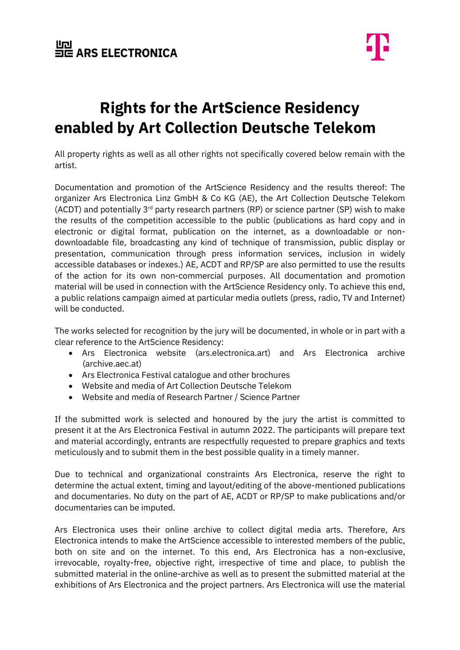

## **Rights for the ArtScience Residency enabled by Art Collection Deutsche Telekom**

All property rights as well as all other rights not specifically covered below remain with the artist.

Documentation and promotion of the ArtScience Residency and the results thereof: The organizer Ars Electronica Linz GmbH & Co KG (AE), the Art Collection Deutsche Telekom (ACDT) and potentially  $3<sup>rd</sup>$  party research partners (RP) or science partner (SP) wish to make the results of the competition accessible to the public (publications as hard copy and in electronic or digital format, publication on the internet, as a downloadable or nondownloadable file, broadcasting any kind of technique of transmission, public display or presentation, communication through press information services, inclusion in widely accessible databases or indexes.) AE, ACDT and RP/SP are also permitted to use the results of the action for its own non-commercial purposes. All documentation and promotion material will be used in connection with the ArtScience Residency only. To achieve this end, a public relations campaign aimed at particular media outlets (press, radio, TV and Internet) will be conducted.

The works selected for recognition by the jury will be documented, in whole or in part with a clear reference to the ArtScience Residency:

- Ars Electronica website (ars.electronica.art) and Ars Electronica archive (archive.aec.at)
- Ars Electronica Festival catalogue and other brochures
- Website and media of Art Collection Deutsche Telekom
- Website and media of Research Partner / Science Partner

If the submitted work is selected and honoured by the jury the artist is committed to present it at the Ars Electronica Festival in autumn 2022. The participants will prepare text and material accordingly, entrants are respectfully requested to prepare graphics and texts meticulously and to submit them in the best possible quality in a timely manner.

Due to technical and organizational constraints Ars Electronica, reserve the right to determine the actual extent, timing and layout/editing of the above-mentioned publications and documentaries. No duty on the part of AE, ACDT or RP/SP to make publications and/or documentaries can be imputed.

Ars Electronica uses their online archive to collect digital media arts. Therefore, Ars Electronica intends to make the ArtScience accessible to interested members of the public, both on site and on the internet. To this end, Ars Electronica has a non-exclusive, irrevocable, royalty-free, objective right, irrespective of time and place, to publish the submitted material in the online-archive as well as to present the submitted material at the exhibitions of Ars Electronica and the project partners. Ars Electronica will use the material